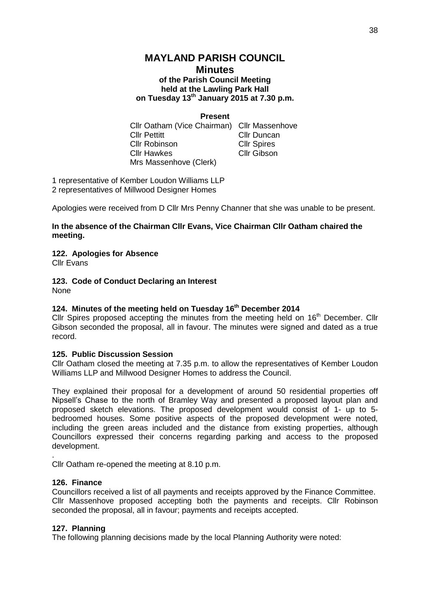## **MAYLAND PARISH COUNCIL**

### **Minutes of the Parish Council Meeting held at the Lawling Park Hall on Tuesday 13th January 2015 at 7.30 p.m.**

## **Present**

Cllr Oatham (Vice Chairman) Cllr Massenhove Cllr Pettitt Cllr Duncan Cllr Robinson Cllr Spires Cllr Hawkes Cllr Gibson Mrs Massenhove (Clerk)

1 representative of Kember Loudon Williams LLP 2 representatives of Millwood Designer Homes

Apologies were received from D Cllr Mrs Penny Channer that she was unable to be present.

## **In the absence of the Chairman Cllr Evans, Vice Chairman Cllr Oatham chaired the meeting.**

#### **122. Apologies for Absence**

Cllr Evans

# **123. Code of Conduct Declaring an Interest**

None

## **124. Minutes of the meeting held on Tuesday 16th December 2014**

Cllr Spires proposed accepting the minutes from the meeting held on  $16<sup>th</sup>$  December. Cllr Gibson seconded the proposal, all in favour. The minutes were signed and dated as a true record.

#### **125. Public Discussion Session**

Cllr Oatham closed the meeting at 7.35 p.m. to allow the representatives of Kember Loudon Williams LLP and Millwood Designer Homes to address the Council.

They explained their proposal for a development of around 50 residential properties off Nipsell's Chase to the north of Bramley Way and presented a proposed layout plan and proposed sketch elevations. The proposed development would consist of 1- up to 5 bedroomed houses. Some positive aspects of the proposed development were noted, including the green areas included and the distance from existing properties, although Councillors expressed their concerns regarding parking and access to the proposed development.

Cllr Oatham re-opened the meeting at 8.10 p.m.

## **126. Finance**

.

Councillors received a list of all payments and receipts approved by the Finance Committee. Cllr Massenhove proposed accepting both the payments and receipts. Cllr Robinson seconded the proposal, all in favour; payments and receipts accepted.

#### **127. Planning**

The following planning decisions made by the local Planning Authority were noted: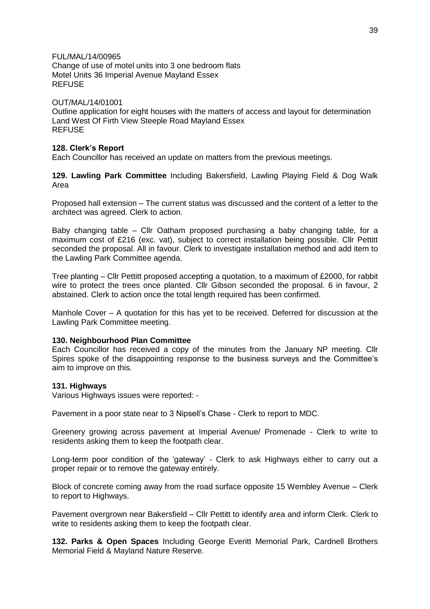FUL/MAL/14/00965

Change of use of motel units into 3 one bedroom flats Motel Units 36 Imperial Avenue Mayland Essex **REFUSE** 

#### OUT/MAL/14/01001

Outline application for eight houses with the matters of access and layout for determination Land West Of Firth View Steeple Road Mayland Essex REFUSE

#### **128. Clerk's Report**

Each Councillor has received an update on matters from the previous meetings.

**129. Lawling Park Committee** Including Bakersfield, Lawling Playing Field & Dog Walk Area

Proposed hall extension – The current status was discussed and the content of a letter to the architect was agreed. Clerk to action.

Baby changing table – Cllr Oatham proposed purchasing a baby changing table, for a maximum cost of £216 (exc. vat), subject to correct installation being possible. Cllr Pettitt seconded the proposal. All in favour. Clerk to investigate installation method and add item to the Lawling Park Committee agenda.

Tree planting – Cllr Pettitt proposed accepting a quotation, to a maximum of £2000, for rabbit wire to protect the trees once planted. Cllr Gibson seconded the proposal. 6 in favour, 2 abstained. Clerk to action once the total length required has been confirmed.

Manhole Cover – A quotation for this has yet to be received. Deferred for discussion at the Lawling Park Committee meeting.

#### **130. Neighbourhood Plan Committee**

Each Councillor has received a copy of the minutes from the January NP meeting. Cllr Spires spoke of the disappointing response to the business surveys and the Committee's aim to improve on this.

#### **131. Highways**

Various Highways issues were reported: -

Pavement in a poor state near to 3 Nipsell's Chase - Clerk to report to MDC.

Greenery growing across pavement at Imperial Avenue/ Promenade - Clerk to write to residents asking them to keep the footpath clear.

Long-term poor condition of the 'gateway' - Clerk to ask Highways either to carry out a proper repair or to remove the gateway entirely.

Block of concrete coming away from the road surface opposite 15 Wembley Avenue – Clerk to report to Highways.

Pavement overgrown near Bakersfield – Cllr Pettitt to identify area and inform Clerk. Clerk to write to residents asking them to keep the footpath clear.

**132. Parks & Open Spaces** Including George Everitt Memorial Park, Cardnell Brothers Memorial Field & Mayland Nature Reserve.